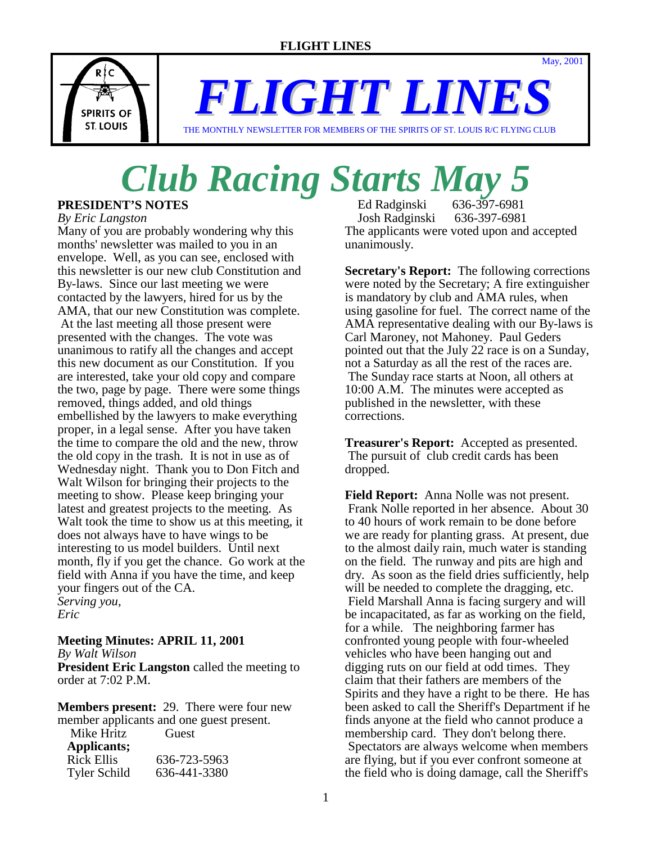

*FLIGHT LINES*

THE MONTHLY NEWSLETTER FOR MEMBERS OF THE SPIRITS OF ST. LOUIS R/C FLYING CLUB

# *Club Racing Starts May 5*

#### **PRESIDENT'S NOTES**

*By Eric Langston*

Many of you are probably wondering why this months' newsletter was mailed to you in an envelope. Well, as you can see, enclosed with this newsletter is our new club Constitution and By-laws. Since our last meeting we were contacted by the lawyers, hired for us by the AMA, that our new Constitution was complete. At the last meeting all those present were presented with the changes. The vote was unanimous to ratify all the changes and accept this new document as our Constitution. If you are interested, take your old copy and compare the two, page by page. There were some things removed, things added, and old things embellished by the lawyers to make everything proper, in a legal sense. After you have taken the time to compare the old and the new, throw the old copy in the trash. It is not in use as of Wednesday night. Thank you to Don Fitch and Walt Wilson for bringing their projects to the meeting to show. Please keep bringing your latest and greatest projects to the meeting. As Walt took the time to show us at this meeting, it does not always have to have wings to be interesting to us model builders. Until next month, fly if you get the chance. Go work at the field with Anna if you have the time, and keep your fingers out of the CA. *Serving you, Eric*

#### **Meeting Minutes: APRIL 11, 2001**

*By Walt Wilson*

**President Eric Langston** called the meeting to order at 7:02 P.M.

**Members present:** 29. There were four new member applicants and one guest present.

Mike Hritz Guest

| Applicants;         |              |
|---------------------|--------------|
| <b>Rick Ellis</b>   | 636-723-5963 |
| <b>Tyler Schild</b> | 636-441-3380 |

 Ed Radginski 636-397-6981 Josh Radginski 636-397-6981 The applicants were voted upon and accepted unanimously.

May, 2001

**Secretary's Report:** The following corrections were noted by the Secretary; A fire extinguisher is mandatory by club and AMA rules, when using gasoline for fuel. The correct name of the AMA representative dealing with our By-laws is Carl Maroney, not Mahoney. Paul Geders pointed out that the July 22 race is on a Sunday, not a Saturday as all the rest of the races are. The Sunday race starts at Noon, all others at 10:00 A.M. The minutes were accepted as published in the newsletter, with these corrections.

**Treasurer's Report:** Accepted as presented. The pursuit of club credit cards has been dropped.

**Field Report:** Anna Nolle was not present. Frank Nolle reported in her absence. About 30 to 40 hours of work remain to be done before we are ready for planting grass. At present, due to the almost daily rain, much water is standing on the field. The runway and pits are high and dry. As soon as the field dries sufficiently, help will be needed to complete the dragging, etc. Field Marshall Anna is facing surgery and will be incapacitated, as far as working on the field, for a while. The neighboring farmer has confronted young people with four-wheeled vehicles who have been hanging out and digging ruts on our field at odd times. They claim that their fathers are members of the Spirits and they have a right to be there. He has been asked to call the Sheriff's Department if he finds anyone at the field who cannot produce a membership card. They don't belong there. Spectators are always welcome when members are flying, but if you ever confront someone at the field who is doing damage, call the Sheriff's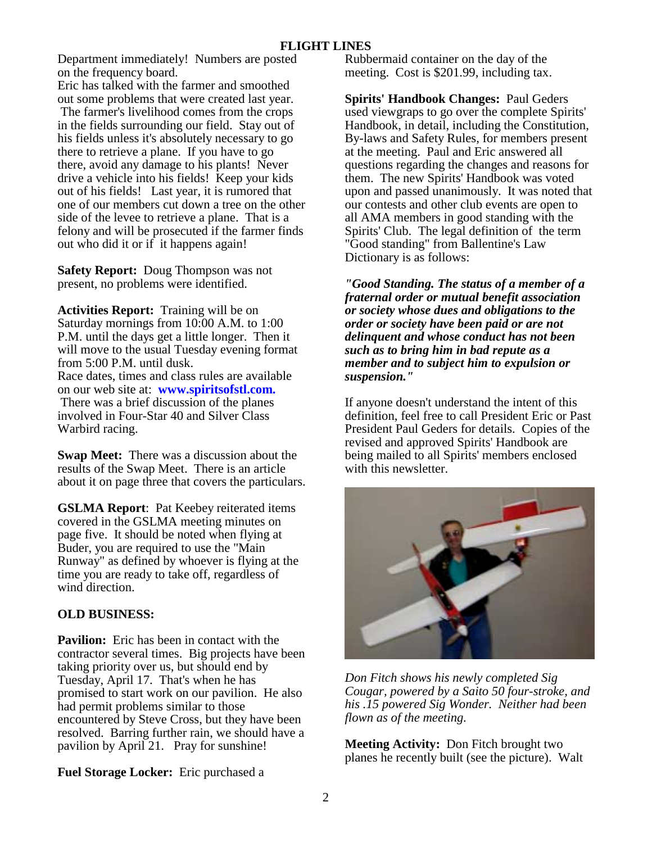Department immediately! Numbers are posted on the frequency board.

Eric has talked with the farmer and smoothed out some problems that were created last year.

 The farmer's livelihood comes from the crops in the fields surrounding our field. Stay out of his fields unless it's absolutely necessary to go there to retrieve a plane. If you have to go there, avoid any damage to his plants! Never drive a vehicle into his fields! Keep your kids out of his fields! Last year, it is rumored that one of our members cut down a tree on the other side of the levee to retrieve a plane. That is a felony and will be prosecuted if the farmer finds out who did it or if it happens again!

**Safety Report:** Doug Thompson was not present, no problems were identified.

**Activities Report:** Training will be on Saturday mornings from 10:00 A.M. to 1:00 P.M. until the days get a little longer. Then it will move to the usual Tuesday evening format from 5:00 P.M. until dusk. Race dates, times and class rules are available on our web site at: **www.spiritsofstl.com.** There was a brief discussion of the planes involved in Four-Star 40 and Silver Class Warbird racing.

**Swap Meet:** There was a discussion about the results of the Swap Meet. There is an article about it on page three that covers the particulars.

**GSLMA Report**: Pat Keebey reiterated items covered in the GSLMA meeting minutes on page five. It should be noted when flying at Buder, you are required to use the "Main Runway" as defined by whoever is flying at the time you are ready to take off, regardless of wind direction.

#### **OLD BUSINESS:**

**Pavilion:** Eric has been in contact with the contractor several times. Big projects have been taking priority over us, but should end by Tuesday, April 17. That's when he has promised to start work on our pavilion. He also had permit problems similar to those encountered by Steve Cross, but they have been resolved. Barring further rain, we should have a pavilion by April 21. Pray for sunshine!

**Fuel Storage Locker:** Eric purchased a

Rubbermaid container on the day of the meeting. Cost is \$201.99, including tax.

**Spirits' Handbook Changes:** Paul Geders used viewgraps to go over the complete Spirits' Handbook, in detail, including the Constitution, By-laws and Safety Rules, for members present at the meeting. Paul and Eric answered all questions regarding the changes and reasons for them. The new Spirits' Handbook was voted upon and passed unanimously. It was noted that our contests and other club events are open to all AMA members in good standing with the Spirits' Club. The legal definition of the term "Good standing" from Ballentine's Law Dictionary is as follows:

*"Good Standing. The status of a member of a fraternal order or mutual benefit association or society whose dues and obligations to the order or society have been paid or are not delinquent and whose conduct has not been such as to bring him in bad repute as a member and to subject him to expulsion or suspension."*

If anyone doesn't understand the intent of this definition, feel free to call President Eric or Past President Paul Geders for details. Copies of the revised and approved Spirits' Handbook are being mailed to all Spirits' members enclosed with this newsletter.



*Don Fitch shows his newly completed Sig Cougar, powered by a Saito 50 four-stroke, and his .15 powered Sig Wonder. Neither had been flown as of the meeting.* 

**Meeting Activity:** Don Fitch brought two planes he recently built (see the picture). Walt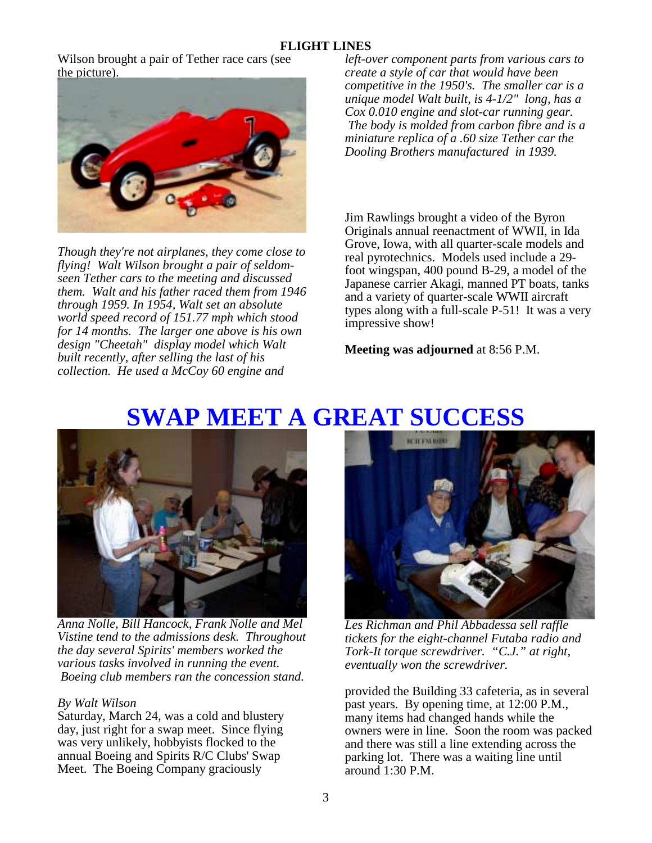#### **FLIGHT LINES**

Wilson brought a pair of Tether race cars (see the picture).



*Though they're not airplanes, they come close to flying! Walt Wilson brought a pair of seldomseen Tether cars to the meeting and discussed them. Walt and his father raced them from 1946 through 1959. In 1954, Walt set an absolute world speed record of 151.77 mph which stood for 14 months. The larger one above is his own design "Cheetah" display model which Walt built recently, after selling the last of his collection. He used a McCoy 60 engine and* 

*left-over component parts from various cars to create a style of car that would have been competitive in the 1950's. The smaller car is a unique model Walt built, is 4-1/2" long, has a Cox 0.010 engine and slot-car running gear. The body is molded from carbon fibre and is a miniature replica of a .60 size Tether car the Dooling Brothers manufactured in 1939.* 

Jim Rawlings brought a video of the Byron Originals annual reenactment of WWII, in Ida Grove, Iowa, with all quarter-scale models and real pyrotechnics. Models used include a 29 foot wingspan, 400 pound B-29, a model of the Japanese carrier Akagi, manned PT boats, tanks and a variety of quarter-scale WWII aircraft types along with a full-scale P-51! It was a very impressive show!

**Meeting was adjourned** at 8:56 P.M.

# **SWAP MEET A GREAT SUCCESS**



*Anna Nolle, Bill Hancock, Frank Nolle and Mel Vistine tend to the admissions desk. Throughout the day several Spirits' members worked the various tasks involved in running the event. Boeing club members ran the concession stand.* 

#### *By Walt Wilson*

Saturday, March 24, was a cold and blustery day, just right for a swap meet. Since flying was very unlikely, hobbyists flocked to the annual Boeing and Spirits R/C Clubs' Swap Meet. The Boeing Company graciously



*Les Richman and Phil Abbadessa sell raffle tickets for the eight-channel Futaba radio and Tork-It torque screwdriver. "C.J." at right, eventually won the screwdriver.* 

provided the Building 33 cafeteria, as in several past years. By opening time, at 12:00 P.M., many items had changed hands while the owners were in line. Soon the room was packed and there was still a line extending across the parking lot. There was a waiting line until around 1:30 P.M.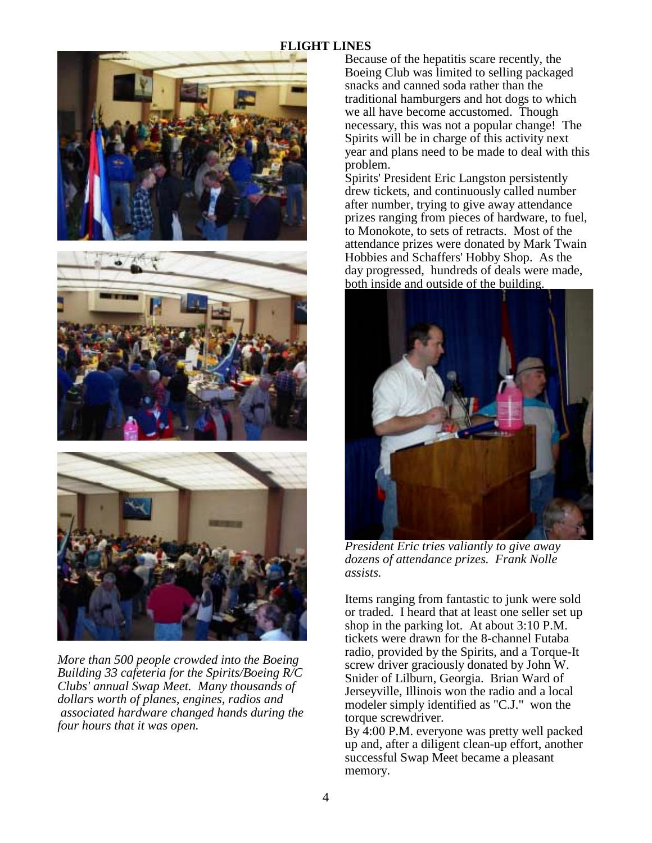#### **FLIGHT LINES**







*More than 500 people crowded into the Boeing Building 33 cafeteria for the Spirits/Boeing R/C Clubs' annual Swap Meet. Many thousands of dollars worth of planes, engines, radios and associated hardware changed hands during the four hours that it was open.* 

Because of the hepatitis scare recently, the Boeing Club was limited to selling packaged snacks and canned soda rather than the traditional hamburgers and hot dogs to which we all have become accustomed. Though necessary, this was not a popular change! The Spirits will be in charge of this activity next year and plans need to be made to deal with this problem.

Spirits' President Eric Langston persistently drew tickets, and continuously called number after number, trying to give away attendance prizes ranging from pieces of hardware, to fuel, to Monokote, to sets of retracts. Most of the attendance prizes were donated by Mark Twain Hobbies and Schaffers' Hobby Shop. As the day progressed, hundreds of deals were made, both inside and outside of the building.



*President Eric tries valiantly to give away dozens of attendance prizes. Frank Nolle assists.* 

Items ranging from fantastic to junk were sold or traded. I heard that at least one seller set up shop in the parking lot. At about 3:10 P.M. tickets were drawn for the 8-channel Futaba radio, provided by the Spirits, and a Torque-It screw driver graciously donated by John W. Snider of Lilburn, Georgia. Brian Ward of Jerseyville, Illinois won the radio and a local modeler simply identified as "C.J." won the torque screwdriver.

By 4:00 P.M. everyone was pretty well packed up and, after a diligent clean-up effort, another successful Swap Meet became a pleasant memory.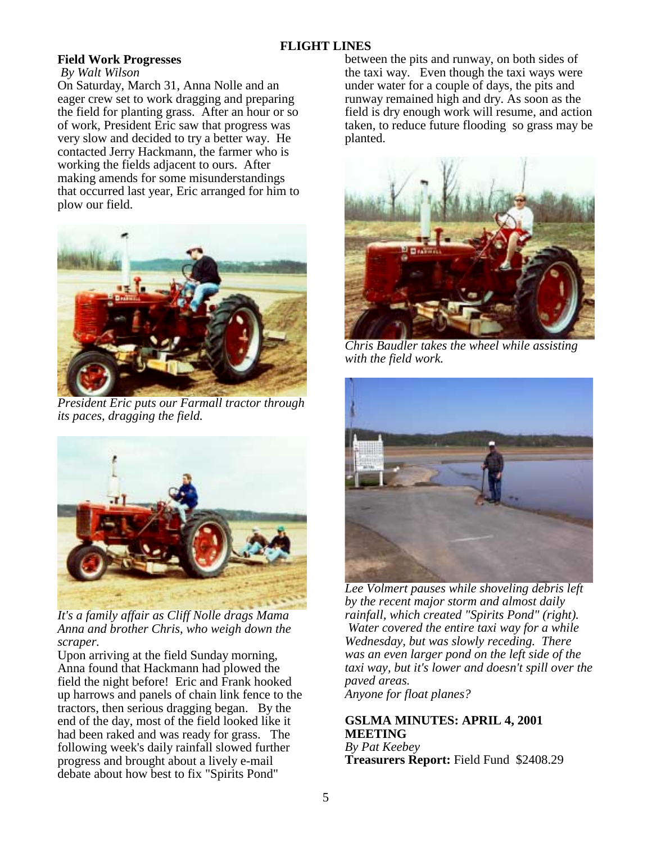## **Field Work Progresses**

 *By Walt Wilson*

On Saturday, March 31, Anna Nolle and an eager crew set to work dragging and preparing the field for planting grass. After an hour or so of work, President Eric saw that progress was very slow and decided to try a better way. He contacted Jerry Hackmann, the farmer who is working the fields adjacent to ours. After making amends for some misunderstandings that occurred last year, Eric arranged for him to plow our field.



*President Eric puts our Farmall tractor through its paces, dragging the field.* 



*It's a family affair as Cliff Nolle drags Mama Anna and brother Chris, who weigh down the scraper.* 

Upon arriving at the field Sunday morning, Anna found that Hackmann had plowed the field the night before! Eric and Frank hooked up harrows and panels of chain link fence to the tractors, then serious dragging began. By the end of the day, most of the field looked like it had been raked and was ready for grass. The following week's daily rainfall slowed further progress and brought about a lively e-mail debate about how best to fix "Spirits Pond"

between the pits and runway, on both sides of the taxi way. Even though the taxi ways were under water for a couple of days, the pits and runway remained high and dry. As soon as the field is dry enough work will resume, and action taken, to reduce future flooding so grass may be planted.



*Chris Baudler takes the wheel while assisting with the field work.* 



*Lee Volmert pauses while shoveling debris left by the recent major storm and almost daily rainfall, which created "Spirits Pond" (right). Water covered the entire taxi way for a while Wednesday, but was slowly receding. There was an even larger pond on the left side of the taxi way, but it's lower and doesn't spill over the paved areas. Anyone for float planes?* 

# **GSLMA MINUTES: APRIL 4, 2001 MEETING**

*By Pat Keebey* **Treasurers Report:** Field Fund \$2408.29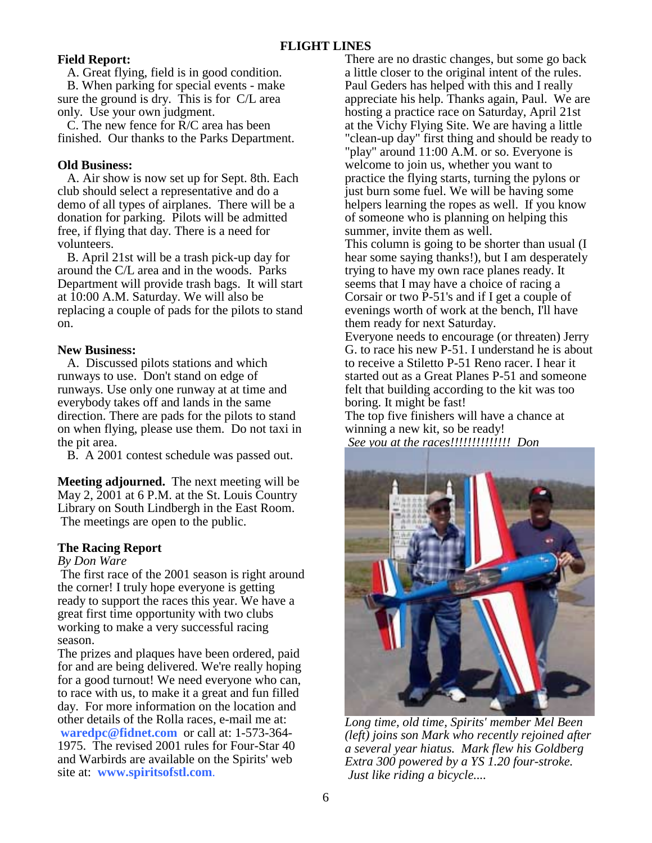#### **Field Report:**

 A. Great flying, field is in good condition. B. When parking for special events - make sure the ground is dry. This is for C/L area

only. Use your own judgment. C. The new fence for R/C area has been finished. Our thanks to the Parks Department.

#### **Old Business:**

 A. Air show is now set up for Sept. 8th. Each club should select a representative and do a demo of all types of airplanes. There will be a donation for parking. Pilots will be admitted free, if flying that day. There is a need for volunteers.

 B. April 21st will be a trash pick-up day for around the C/L area and in the woods. Parks Department will provide trash bags. It will start at 10:00 A.M. Saturday. We will also be replacing a couple of pads for the pilots to stand on.

#### **New Business:**

 A. Discussed pilots stations and which runways to use. Don't stand on edge of runways. Use only one runway at at time and everybody takes off and lands in the same direction. There are pads for the pilots to stand on when flying, please use them. Do not taxi in the pit area.

B. A 2001 contest schedule was passed out.

**Meeting adjourned.** The next meeting will be May 2, 2001 at 6 P.M. at the St. Louis Country Library on South Lindbergh in the East Room. The meetings are open to the public.

## **The Racing Report**

#### *By Don Ware*

 The first race of the 2001 season is right around the corner! I truly hope everyone is getting ready to support the races this year. We have a great first time opportunity with two clubs working to make a very successful racing season.

The prizes and plaques have been ordered, paid for and are being delivered. We're really hoping for a good turnout! We need everyone who can, to race with us, to make it a great and fun filled day. For more information on the location and other details of the Rolla races, e-mail me at: **waredpc@fidnet.com** or call at: 1-573-364- 1975. The revised 2001 rules for Four-Star 40 and Warbirds are available on the Spirits' web site at: **www.spiritsofstl.com**.

There are no drastic changes, but some go back a little closer to the original intent of the rules. Paul Geders has helped with this and I really appreciate his help. Thanks again, Paul. We are hosting a practice race on Saturday, April 21st at the Vichy Flying Site. We are having a little "clean-up day" first thing and should be ready to "play" around 11:00 A.M. or so. Everyone is welcome to join us, whether you want to practice the flying starts, turning the pylons or just burn some fuel. We will be having some helpers learning the ropes as well. If you know of someone who is planning on helping this summer, invite them as well.

This column is going to be shorter than usual (I hear some saying thanks!), but I am desperately trying to have my own race planes ready. It seems that I may have a choice of racing a Corsair or two P-51's and if I get a couple of evenings worth of work at the bench, I'll have them ready for next Saturday.

Everyone needs to encourage (or threaten) Jerry G. to race his new P-51. I understand he is about to receive a Stiletto P-51 Reno racer. I hear it started out as a Great Planes P-51 and someone felt that building according to the kit was too boring. It might be fast!

The top five finishers will have a chance at winning a new kit, so be ready! *See you at the races!!!!!!!!!!!!!! Don*



*Long time, old time, Spirits' member Mel Been (left) joins son Mark who recently rejoined after a several year hiatus. Mark flew his Goldberg Extra 300 powered by a YS 1.20 four-stroke. Just like riding a bicycle....*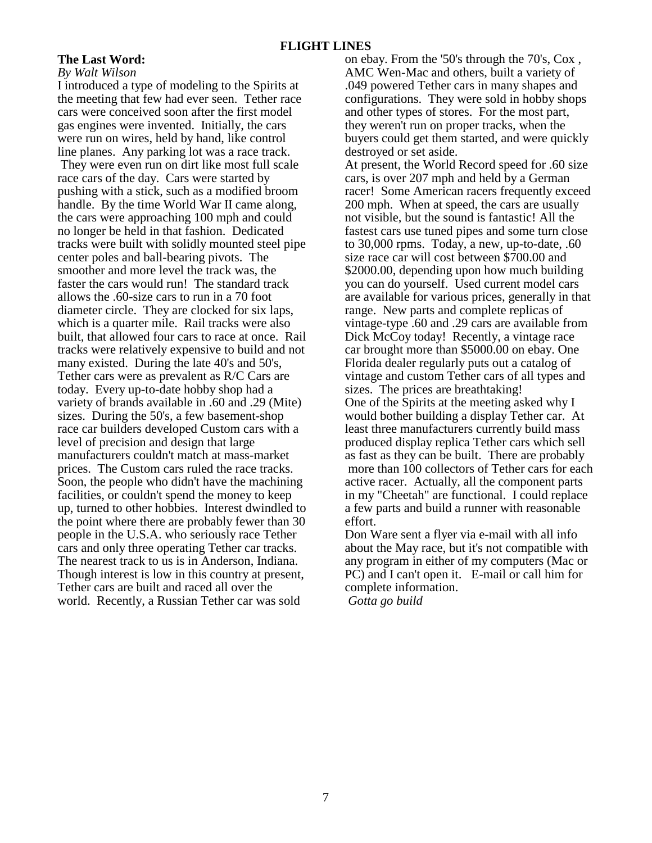#### **The Last Word:**

#### *By Walt Wilson*

I introduced a type of modeling to the Spirits at the meeting that few had ever seen. Tether race cars were conceived soon after the first model gas engines were invented. Initially, the cars were run on wires, held by hand, like control line planes. Any parking lot was a race track. They were even run on dirt like most full scale race cars of the day. Cars were started by pushing with a stick, such as a modified broom handle. By the time World War II came along, the cars were approaching 100 mph and could no longer be held in that fashion. Dedicated tracks were built with solidly mounted steel pipe center poles and ball-bearing pivots. The smoother and more level the track was, the faster the cars would run! The standard track allows the .60-size cars to run in a 70 foot diameter circle. They are clocked for six laps, which is a quarter mile. Rail tracks were also built, that allowed four cars to race at once. Rail tracks were relatively expensive to build and not many existed. During the late 40's and 50's, Tether cars were as prevalent as R/C Cars are today. Every up-to-date hobby shop had a variety of brands available in .60 and .29 (Mite) sizes. During the 50's, a few basement-shop race car builders developed Custom cars with a level of precision and design that large manufacturers couldn't match at mass-market prices. The Custom cars ruled the race tracks. Soon, the people who didn't have the machining facilities, or couldn't spend the money to keep up, turned to other hobbies. Interest dwindled to the point where there are probably fewer than 30 people in the U.S.A. who seriously race Tether cars and only three operating Tether car tracks. The nearest track to us is in Anderson, Indiana. Though interest is low in this country at present, Tether cars are built and raced all over the world. Recently, a Russian Tether car was sold

on ebay. From the '50's through the 70's, Cox , AMC Wen-Mac and others, built a variety of .049 powered Tether cars in many shapes and configurations. They were sold in hobby shops and other types of stores. For the most part, they weren't run on proper tracks, when the buyers could get them started, and were quickly destroyed or set aside. At present, the World Record speed for .60 size cars, is over 207 mph and held by a German racer! Some American racers frequently exceed 200 mph. When at speed, the cars are usually not visible, but the sound is fantastic! All the fastest cars use tuned pipes and some turn close to 30,000 rpms. Today, a new, up-to-date, .60 size race car will cost between \$700.00 and \$2000.00, depending upon how much building you can do yourself. Used current model cars are available for various prices, generally in that range. New parts and complete replicas of vintage-type .60 and .29 cars are available from Dick McCoy today! Recently, a vintage race car brought more than \$5000.00 on ebay. One Florida dealer regularly puts out a catalog of vintage and custom Tether cars of all types and sizes. The prices are breathtaking! One of the Spirits at the meeting asked why I would bother building a display Tether car. At least three manufacturers currently build mass produced display replica Tether cars which sell as fast as they can be built. There are probably more than 100 collectors of Tether cars for each active racer. Actually, all the component parts in my "Cheetah" are functional. I could replace a few parts and build a runner with reasonable effort. Don Ware sent a flyer via e-mail with all info

about the May race, but it's not compatible with any program in either of my computers (Mac or PC) and I can't open it. E-mail or call him for complete information.

 *Gotta go build*